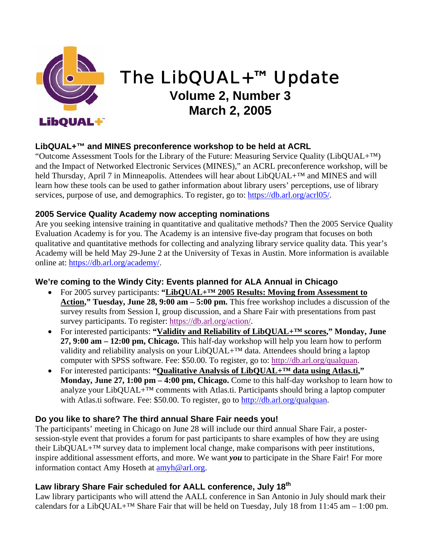

# The LibQUAL+™ Update **Volume 2, Number 3 March 2, 2005**

# **LibQUAL+™ and MINES preconference workshop to be held at ACRL**

"Outcome Assessment Tools for the Library of the Future: Measuring Service Quality (LibQUAL+™) and the Impact of Networked Electronic Services (MINES)," an ACRL preconference workshop, will be held Thursday, April 7 in Minneapolis. Attendees will hear about LibQUAL+™ and MINES and will learn how these tools can be used to gather information about library users' perceptions, use of library services, purpose of use, and demographics. To register, go to: <https://db.arl.org/acrl05/>.

## **2005 Service Quality Academy now accepting nominations**

Are you seeking intensive training in quantitative and qualitative methods? Then the 2005 Service Quality Evaluation Academy is for you. The Academy is an intensive five-day program that focuses on both qualitative and quantitative methods for collecting and analyzing library service quality data. This year's Academy will be held May 29-June 2 at the University of Texas in Austin. More information is available online at: [https://db.arl.org/academy/.](https://db.arl.org/academy/)

#### **We're coming to the Windy City: Events planned for ALA Annual in Chicago**

- For 2005 survey participants: "LibQUAL+<sup>TM</sup> 2005 Results: Moving from Assessment to **Action," Tuesday, June 28, 9:00 am – 5:00 pm.** This free workshop includes a discussion of the survey results from Session I, group discussion, and a Share Fair with presentations from past survey participants. To register: https://db.arl.org/action/.
- For interested participants: **"Validity and Reliability of LibQUAL+™ scores," Monday, June 27, 9:00 am – 12:00 pm, Chicago.** This half-day workshop will help you learn how to perform validity and reliability analysis on your LibQUAL+™ data. Attendees should bring a laptop computer with SPSS software. Fee: \$50.00. To register, go to: http://db.arl.org/qualquan.
- For interested participants: **"Qualitative Analysis of LibQUAL+™ data using Atlas.ti," Monday, June 27, 1:00 pm – 4:00 pm, Chicago.** Come to this half-day workshop to learn how to analyze your LibQUAL+™ comments with Atlas.ti. Participants should bring a laptop computer with Atlas.ti software. Fee: \$50.00. To register, go to [http://db.arl.org/qualquan.](http://db.arl.org/qualquan)

## **Do you like to share? The third annual Share Fair needs you!**

The participants' meeting in Chicago on June 28 will include our third annual Share Fair, a postersession-style event that provides a forum for past participants to share examples of how they are using their LibQUAL+™ survey data to implement local change, make comparisons with peer institutions, inspire additional assessment efforts, and more. We want *you* to participate in the Share Fair! For more information contact Amy Hoseth at [amyh@arl.org.](mailto:amyh@arl.org)

# Law library Share Fair scheduled for AALL conference, July 18<sup>th</sup>

Law library participants who will attend the AALL conference in San Antonio in July should mark their calendars for a LibQUAL+<sup>™</sup> Share Fair that will be held on Tuesday, July 18 from 11:45 am – 1:00 pm.